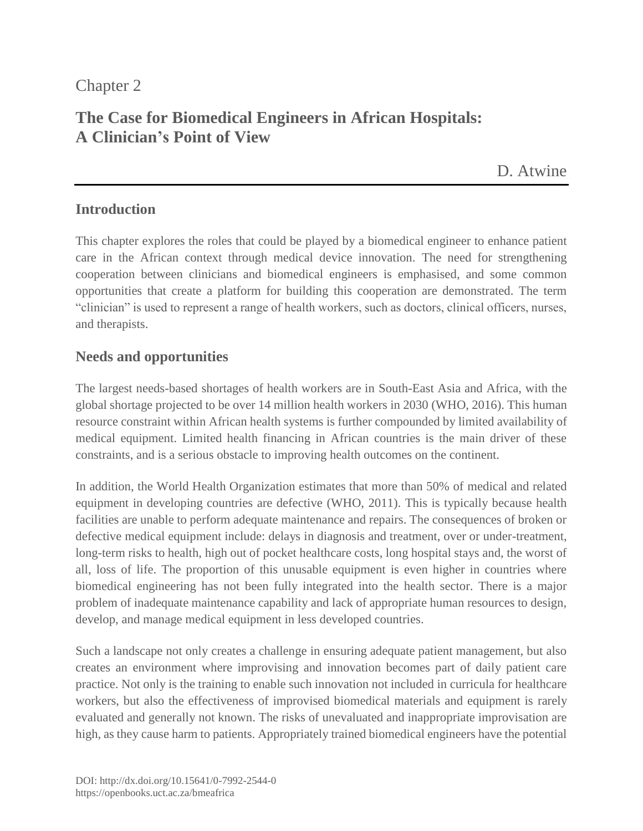## Chapter 2

# **The Case for Biomedical Engineers in African Hospitals: A Clinician's Point of View**

[D. Atwine](https://orcid.org/0000-0002-3373-1999)

#### **Introduction**

This chapter explores the roles that could be played by a biomedical engineer to enhance patient care in the African context through medical device innovation. The need for strengthening cooperation between clinicians and biomedical engineers is emphasised, and some common opportunities that create a platform for building this cooperation are demonstrated. The term "clinician" is used to represent a range of health workers, such as doctors, clinical officers, nurses, and therapists.

#### **Needs and opportunities**

The largest needs-based shortages of health workers are in South-East Asia and Africa, with the global shortage projected to be over 14 million health workers in 2030 (WHO, 2016). This human resource constraint within African health systems is further compounded by limited availability of medical equipment. Limited health financing in African countries is the main driver of these constraints, and is a serious obstacle to improving health outcomes on the continent.

In addition, the World Health Organization estimates that more than 50% of medical and related equipment in developing countries are defective (WHO, 2011). This is typically because health facilities are unable to perform adequate maintenance and repairs. The consequences of broken or defective medical equipment include: delays in diagnosis and treatment, over or under-treatment, long-term risks to health, high out of pocket healthcare costs, long hospital stays and, the worst of all, loss of life. The proportion of this unusable equipment is even higher in countries where biomedical engineering has not been fully integrated into the health sector. There is a major problem of inadequate maintenance capability and lack of appropriate human resources to design, develop, and manage medical equipment in less developed countries.

Such a landscape not only creates a challenge in ensuring adequate patient management, but also creates an environment where improvising and innovation becomes part of daily patient care practice. Not only is the training to enable such innovation not included in curricula for healthcare workers, but also the effectiveness of improvised biomedical materials and equipment is rarely evaluated and generally not known. The risks of unevaluated and inappropriate improvisation are high, as they cause harm to patients. Appropriately trained biomedical engineers have the potential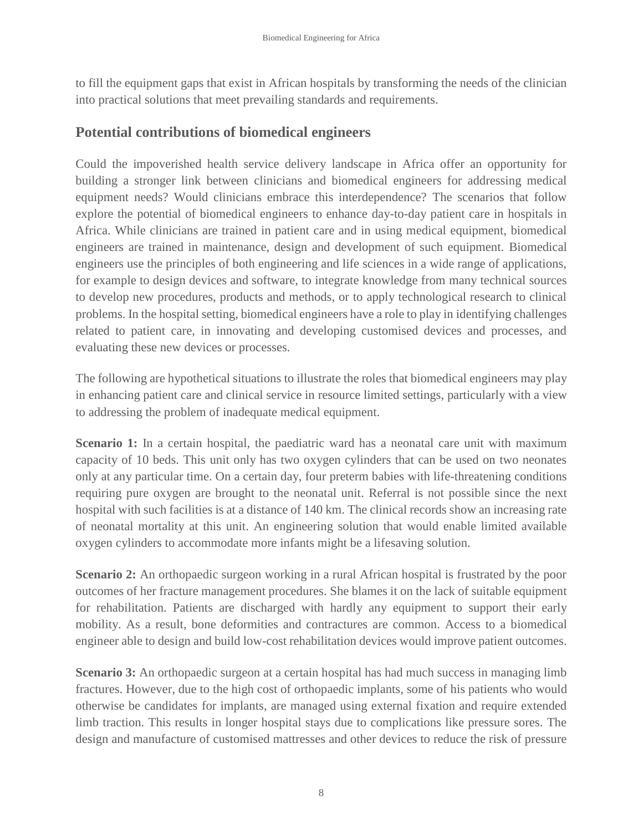to fill the equipment gaps that exist in African hospitals by transforming the needs of the clinician into practical solutions that meet prevailing standards and requirements.

### **Potential contributions of biomedical engineers**

Could the impoverished health service delivery landscape in Africa offer an opportunity for building a stronger link between clinicians and biomedical engineers for addressing medical equipment needs? Would clinicians embrace this interdependence? The scenarios that follow explore the potential of biomedical engineers to enhance day-to-day patient care in hospitals in Africa. While clinicians are trained in patient care and in using medical equipment, biomedical engineers are trained in maintenance, design and development of such equipment. Biomedical engineers use the principles of both engineering and life sciences in a wide range of applications, for example to design devices and software, to integrate knowledge from many technical sources to develop new procedures, products and methods, or to apply technological research to clinical problems. In the hospital setting, biomedical engineers have a role to play in identifying challenges related to patient care, in innovating and developing customised devices and processes, and evaluating these new devices or processes.

The following are hypothetical situations to illustrate the roles that biomedical engineers may play in enhancing patient care and clinical service in resource limited settings, particularly with a view to addressing the problem of inadequate medical equipment.

**Scenario 1:** In a certain hospital, the paediatric ward has a neonatal care unit with maximum capacity of 10 beds. This unit only has two oxygen cylinders that can be used on two neonates only at any particular time. On a certain day, four preterm babies with life-threatening conditions requiring pure oxygen are brought to the neonatal unit. Referral is not possible since the next hospital with such facilities is at a distance of 140 km. The clinical records show an increasing rate of neonatal mortality at this unit. An engineering solution that would enable limited available oxygen cylinders to accommodate more infants might be a lifesaving solution.

**Scenario 2:** An orthopaedic surgeon working in a rural African hospital is frustrated by the poor outcomes of her fracture management procedures. She blames it on the lack of suitable equipment for rehabilitation. Patients are discharged with hardly any equipment to support their early mobility. As a result, bone deformities and contractures are common. Access to a biomedical engineer able to design and build low-cost rehabilitation devices would improve patient outcomes.

**Scenario 3:** An orthopaedic surgeon at a certain hospital has had much success in managing limb fractures. However, due to the high cost of orthopaedic implants, some of his patients who would otherwise be candidates for implants, are managed using external fixation and require extended limb traction. This results in longer hospital stays due to complications like pressure sores. The design and manufacture of customised mattresses and other devices to reduce the risk of pressure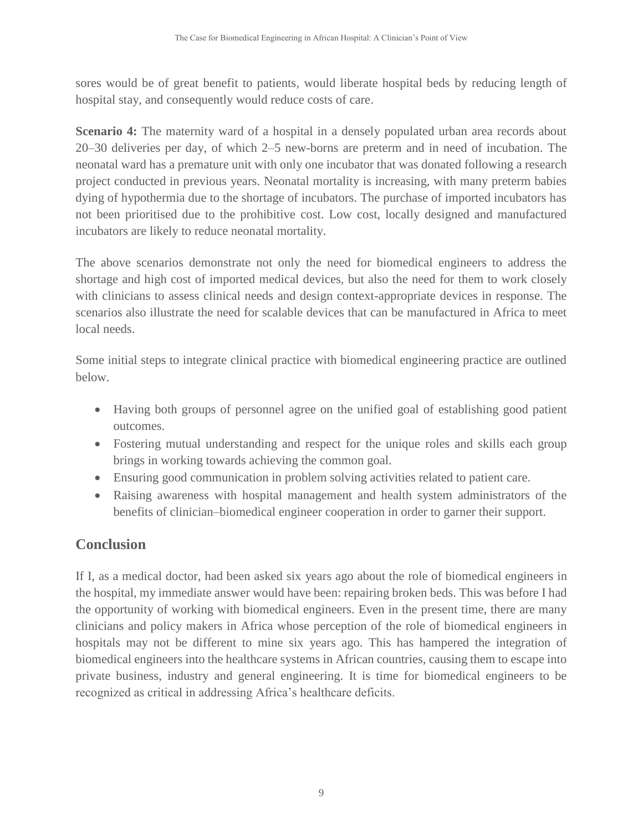sores would be of great benefit to patients, would liberate hospital beds by reducing length of hospital stay, and consequently would reduce costs of care.

**Scenario 4:** The maternity ward of a hospital in a densely populated urban area records about 20–30 deliveries per day, of which 2–5 new-borns are preterm and in need of incubation. The neonatal ward has a premature unit with only one incubator that was donated following a research project conducted in previous years. Neonatal mortality is increasing, with many preterm babies dying of hypothermia due to the shortage of incubators. The purchase of imported incubators has not been prioritised due to the prohibitive cost. Low cost, locally designed and manufactured incubators are likely to reduce neonatal mortality.

The above scenarios demonstrate not only the need for biomedical engineers to address the shortage and high cost of imported medical devices, but also the need for them to work closely with clinicians to assess clinical needs and design context-appropriate devices in response. The scenarios also illustrate the need for scalable devices that can be manufactured in Africa to meet local needs.

Some initial steps to integrate clinical practice with biomedical engineering practice are outlined below.

- Having both groups of personnel agree on the unified goal of establishing good patient outcomes.
- Fostering mutual understanding and respect for the unique roles and skills each group brings in working towards achieving the common goal.
- Ensuring good communication in problem solving activities related to patient care.
- Raising awareness with hospital management and health system administrators of the benefits of clinician–biomedical engineer cooperation in order to garner their support.

## **Conclusion**

If I, as a medical doctor, had been asked six years ago about the role of biomedical engineers in the hospital, my immediate answer would have been: repairing broken beds. This was before I had the opportunity of working with biomedical engineers. Even in the present time, there are many clinicians and policy makers in Africa whose perception of the role of biomedical engineers in hospitals may not be different to mine six years ago. This has hampered the integration of biomedical engineers into the healthcare systems in African countries, causing them to escape into private business, industry and general engineering. It is time for biomedical engineers to be recognized as critical in addressing Africa's healthcare deficits.